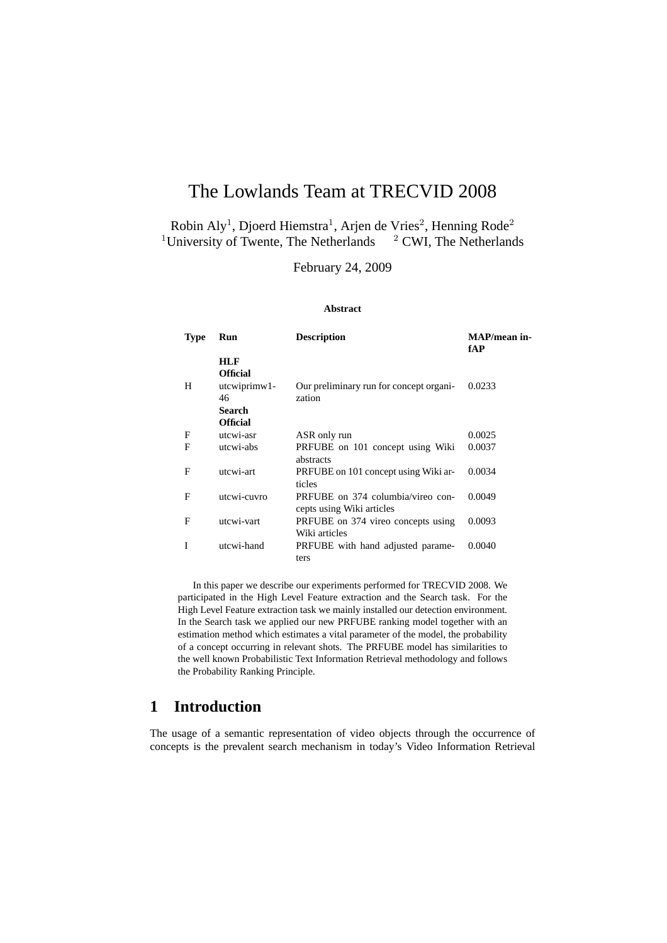# The Lowlands Team at TRECVID 2008

Robin Aly<sup>1</sup>, Djoerd Hiemstra<sup>1</sup>, Arjen de Vries<sup>2</sup>, Henning Rode<sup>2</sup> <sup>1</sup>University of Twente, The Netherlands  $2$  CWI, The Netherlands

February 24, 2009

#### **Abstract**

| <b>Type</b> | Run             | <b>Description</b>                                             | MAP/mean in-<br>fAP |
|-------------|-----------------|----------------------------------------------------------------|---------------------|
|             | <b>HLF</b>      |                                                                |                     |
|             | <b>Official</b> |                                                                |                     |
| H           | utcwiprimw1-    | Our preliminary run for concept organi-                        | 0.0233              |
|             | 46              | zation                                                         |                     |
|             | Search          |                                                                |                     |
|             | <b>Official</b> |                                                                |                     |
| F           | utcwi-asr       | ASR only run                                                   | 0.0025              |
| F           | utcwi-abs       | PRFUBE on 101 concept using Wiki<br>abstracts                  | 0.0037              |
| F           | utcwi-art       | PRFUBE on 101 concept using Wiki ar-<br>ticles                 | 0.0034              |
| F           | utcwi-cuvro     | PRFUBE on 374 columbia/vireo con-<br>cepts using Wiki articles | 0.0049              |
| F           | utcwi-vart      | PRFUBE on 374 vireo concepts using                             | 0.0093              |
|             |                 | Wiki articles                                                  |                     |
| T           | utcwi-hand      | PRFUBE with hand adjusted parame-<br>ters                      | 0.0040              |

In this paper we describe our experiments performed for TRECVID 2008. We participated in the High Level Feature extraction and the Search task. For the High Level Feature extraction task we mainly installed our detection environment. In the Search task we applied our new PRFUBE ranking model together with an estimation method which estimates a vital parameter of the model, the probability of a concept occurring in relevant shots. The PRFUBE model has similarities to the well known Probabilistic Text Information Retrieval methodology and follows the Probability Ranking Principle.

# **1 Introduction**

The usage of a semantic representation of video objects through the occurrence of concepts is the prevalent search mechanism in today's Video Information Retrieval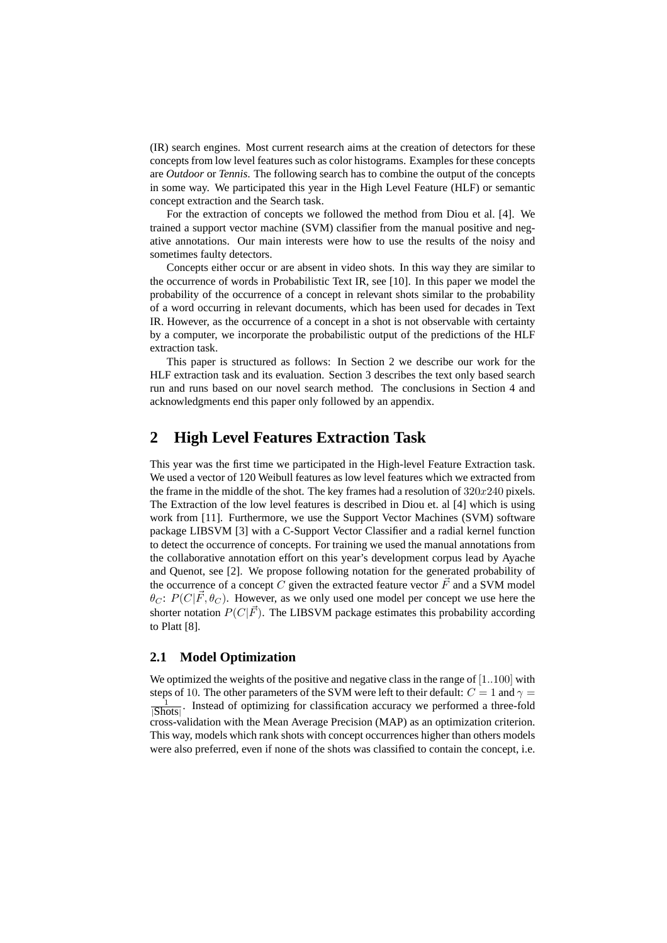(IR) search engines. Most current research aims at the creation of detectors for these concepts from low level features such as color histograms. Examples for these concepts are *Outdoor* or *Tennis*. The following search has to combine the output of the concepts in some way. We participated this year in the High Level Feature (HLF) or semantic concept extraction and the Search task.

For the extraction of concepts we followed the method from Diou et al. [4]. We trained a support vector machine (SVM) classifier from the manual positive and negative annotations. Our main interests were how to use the results of the noisy and sometimes faulty detectors.

Concepts either occur or are absent in video shots. In this way they are similar to the occurrence of words in Probabilistic Text IR, see [10]. In this paper we model the probability of the occurrence of a concept in relevant shots similar to the probability of a word occurring in relevant documents, which has been used for decades in Text IR. However, as the occurrence of a concept in a shot is not observable with certainty by a computer, we incorporate the probabilistic output of the predictions of the HLF extraction task.

This paper is structured as follows: In Section 2 we describe our work for the HLF extraction task and its evaluation. Section 3 describes the text only based search run and runs based on our novel search method. The conclusions in Section 4 and acknowledgments end this paper only followed by an appendix.

### **2 High Level Features Extraction Task**

This year was the first time we participated in the High-level Feature Extraction task. We used a vector of 120 Weibull features as low level features which we extracted from the frame in the middle of the shot. The key frames had a resolution of  $320x240$  pixels. The Extraction of the low level features is described in Diou et. al [4] which is using work from [11]. Furthermore, we use the Support Vector Machines (SVM) software package LIBSVM [3] with a C-Support Vector Classifier and a radial kernel function to detect the occurrence of concepts. For training we used the manual annotations from the collaborative annotation effort on this year's development corpus lead by Ayache and Quenot, see [2]. We propose following notation for the generated probability of the occurrence of a concept C given the extracted feature vector  $\vec{F}$  and a SVM model  $\theta_C$ :  $P(C|\vec{F}, \theta_C)$ . However, as we only used one model per concept we use here the shorter notation  $P(C|\vec{F})$ . The LIBSVM package estimates this probability according to Platt [8].

### **2.1 Model Optimization**

We optimized the weights of the positive and negative class in the range of  $[1..100]$  with steps of 10. The other parameters of the SVM were left to their default:  $C = 1$  and  $\gamma =$ .<br>1  $\frac{1}{|\text{Shots}|}$ . Instead of optimizing for classification accuracy we performed a three-fold cross-validation with the Mean Average Precision (MAP) as an optimization criterion. This way, models which rank shots with concept occurrences higher than others models were also preferred, even if none of the shots was classified to contain the concept, i.e.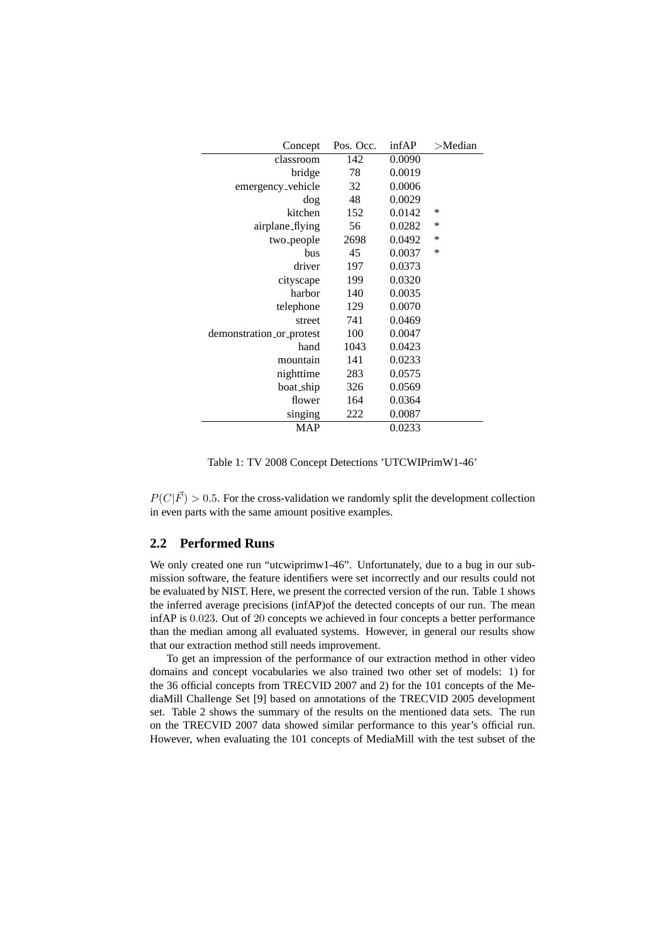| Concept                  | Pos. Occ. | infAP  | $>$ Median |
|--------------------------|-----------|--------|------------|
| classroom                | 142       | 0.0090 |            |
| bridge                   | 78        | 0.0019 |            |
| emergency_vehicle        | 32        | 0.0006 |            |
| dog                      | 48        | 0.0029 |            |
| kitchen                  | 152       | 0.0142 | *          |
| airplane_flying          | 56        | 0.0282 | $\ast$     |
| two <sub>-</sub> people  | 2698      | 0.0492 | ∗          |
| bus                      | 45        | 0.0037 | *          |
| driver                   | 197       | 0.0373 |            |
| cityscape                | 199       | 0.0320 |            |
| harbor                   | 140       | 0.0035 |            |
| telephone                | 129       | 0.0070 |            |
| street                   | 741       | 0.0469 |            |
| demonstration_or_protest | 100       | 0.0047 |            |
| hand                     | 1043      | 0.0423 |            |
| mountain                 | 141       | 0.0233 |            |
| nighttime                | 283       | 0.0575 |            |
| boat_ship                | 326       | 0.0569 |            |
| flower                   | 164       | 0.0364 |            |
| singing                  | 222       | 0.0087 |            |
| <b>MAP</b>               |           | 0.0233 |            |

Table 1: TV 2008 Concept Detections 'UTCWIPrimW1-46'

 $P(C|\vec{F}) > 0.5$ . For the cross-validation we randomly split the development collection in even parts with the same amount positive examples.

#### **2.2 Performed Runs**

We only created one run "utcwiprimw1-46". Unfortunately, due to a bug in our submission software, the feature identifiers were set incorrectly and our results could not be evaluated by NIST. Here, we present the corrected version of the run. Table 1 shows the inferred average precisions (infAP)of the detected concepts of our run. The mean infAP is 0.023. Out of 20 concepts we achieved in four concepts a better performance than the median among all evaluated systems. However, in general our results show that our extraction method still needs improvement.

To get an impression of the performance of our extraction method in other video domains and concept vocabularies we also trained two other set of models: 1) for the 36 official concepts from TRECVID 2007 and 2) for the 101 concepts of the MediaMill Challenge Set [9] based on annotations of the TRECVID 2005 development set. Table 2 shows the summary of the results on the mentioned data sets. The run on the TRECVID 2007 data showed similar performance to this year's official run. However, when evaluating the 101 concepts of MediaMill with the test subset of the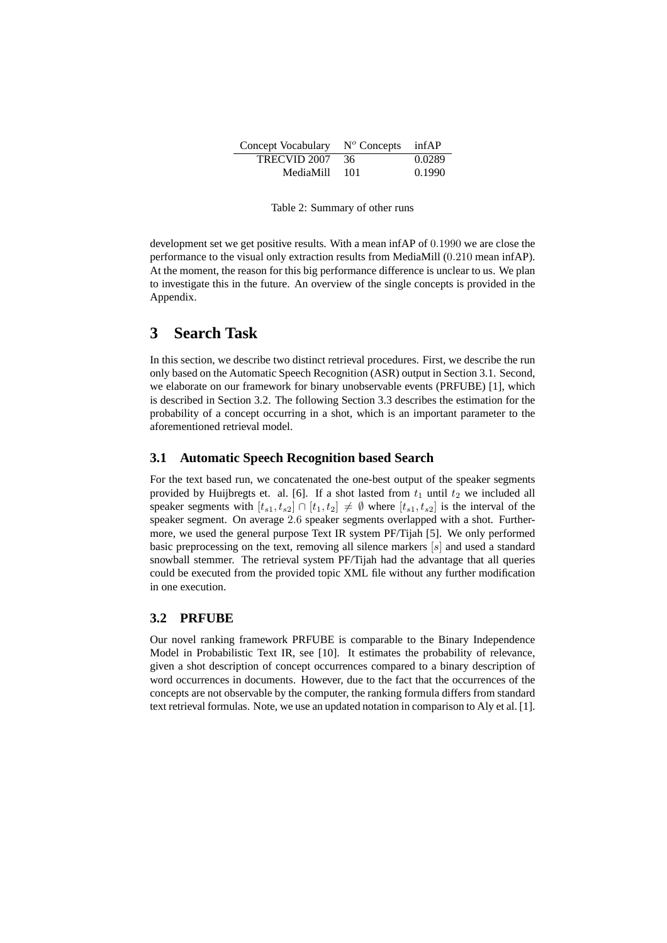| Concept Vocabulary | $N^{\circ}$ Concepts | infAP  |
|--------------------|----------------------|--------|
| TRECVID 2007       | -36                  | 0.0289 |
| MediaMill          | -101                 | 0.1990 |

Table 2: Summary of other runs

development set we get positive results. With a mean infAP of 0.1990 we are close the performance to the visual only extraction results from MediaMill (0.210 mean infAP). At the moment, the reason for this big performance difference is unclear to us. We plan to investigate this in the future. An overview of the single concepts is provided in the Appendix.

# **3 Search Task**

In this section, we describe two distinct retrieval procedures. First, we describe the run only based on the Automatic Speech Recognition (ASR) output in Section 3.1. Second, we elaborate on our framework for binary unobservable events (PRFUBE) [1], which is described in Section 3.2. The following Section 3.3 describes the estimation for the probability of a concept occurring in a shot, which is an important parameter to the aforementioned retrieval model.

#### **3.1 Automatic Speech Recognition based Search**

For the text based run, we concatenated the one-best output of the speaker segments provided by Huijbregts et. al. [6]. If a shot lasted from  $t_1$  until  $t_2$  we included all speaker segments with  $[t_{s1}, t_{s2}] \cap [t_1, t_2] \neq \emptyset$  where  $[t_{s1}, t_{s2}]$  is the interval of the speaker segment. On average 2.6 speaker segments overlapped with a shot. Furthermore, we used the general purpose Text IR system PF/Tijah [5]. We only performed basic preprocessing on the text, removing all silence markers  $[s]$  and used a standard snowball stemmer. The retrieval system PF/Tijah had the advantage that all queries could be executed from the provided topic XML file without any further modification in one execution.

#### **3.2 PRFUBE**

Our novel ranking framework PRFUBE is comparable to the Binary Independence Model in Probabilistic Text IR, see [10]. It estimates the probability of relevance, given a shot description of concept occurrences compared to a binary description of word occurrences in documents. However, due to the fact that the occurrences of the concepts are not observable by the computer, the ranking formula differs from standard text retrieval formulas. Note, we use an updated notation in comparison to Aly et al. [1].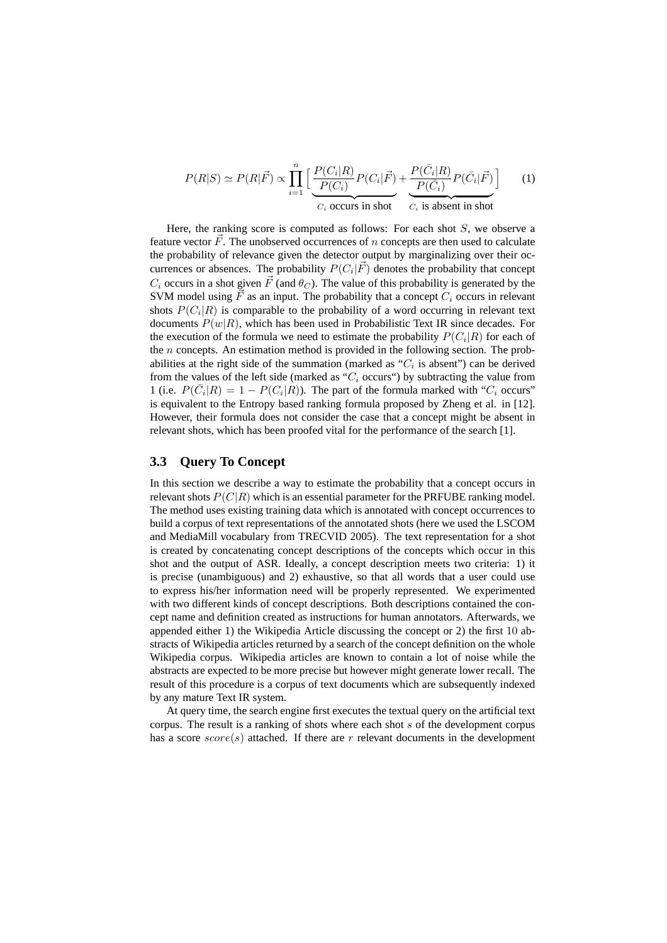$$
P(R|S) \simeq P(R|\vec{F}) \propto \prod_{i=1}^{n} \left[ \underbrace{\frac{P(C_i|R)}{P(C_i)}P(C_i|\vec{F})}_{C_i \text{ occurs in shot}} + \underbrace{\frac{P(\bar{C}_i|R)}{P(\bar{C}_i)}P(\bar{C}_i|\vec{F})}_{C_i \text{ is absent in shot}} \right] \tag{1}
$$

Here, the ranking score is computed as follows: For each shot  $S$ , we observe a feature vector  $\vec{F}$ . The unobserved occurrences of n concepts are then used to calculate the probability of relevance given the detector output by marginalizing over their occurrences or absences. The probability  $P(C_i|\vec{F})$  denotes the probability that concept  $C_i$  occurs in a shot given  $\vec{F}$  (and  $\theta_C$ ). The value of this probability is generated by the SVM model using  $\vec{F}$  as an input. The probability that a concept  $C_i$  occurs in relevant shots  $P(C_i|R)$  is comparable to the probability of a word occurring in relevant text documents  $P(w|R)$ , which has been used in Probabilistic Text IR since decades. For the execution of the formula we need to estimate the probability  $P(C_i|R)$  for each of the  $n$  concepts. An estimation method is provided in the following section. The probabilities at the right side of the summation (marked as " $C_i$  is absent") can be derived from the values of the left side (marked as " $C_i$  occurs") by subtracting the value from 1 (i.e.  $P(\overline{C}_i|R) = 1 - P(C_i|R)$ ). The part of the formula marked with " $C_i$  occurs" is equivalent to the Entropy based ranking formula proposed by Zheng et al. in [12]. However, their formula does not consider the case that a concept might be absent in relevant shots, which has been proofed vital for the performance of the search [1].

#### **3.3 Query To Concept**

In this section we describe a way to estimate the probability that a concept occurs in relevant shots  $P(C|R)$  which is an essential parameter for the PRFUBE ranking model. The method uses existing training data which is annotated with concept occurrences to build a corpus of text representations of the annotated shots (here we used the LSCOM and MediaMill vocabulary from TRECVID 2005). The text representation for a shot is created by concatenating concept descriptions of the concepts which occur in this shot and the output of ASR. Ideally, a concept description meets two criteria: 1) it is precise (unambiguous) and 2) exhaustive, so that all words that a user could use to express his/her information need will be properly represented. We experimented with two different kinds of concept descriptions. Both descriptions contained the concept name and definition created as instructions for human annotators. Afterwards, we appended either 1) the Wikipedia Article discussing the concept or 2) the first 10 abstracts of Wikipedia articles returned by a search of the concept definition on the whole Wikipedia corpus. Wikipedia articles are known to contain a lot of noise while the abstracts are expected to be more precise but however might generate lower recall. The result of this procedure is a corpus of text documents which are subsequently indexed by any mature Text IR system.

At query time, the search engine first executes the textual query on the artificial text corpus. The result is a ranking of shots where each shot  $s$  of the development corpus has a score  $score(s)$  attached. If there are r relevant documents in the development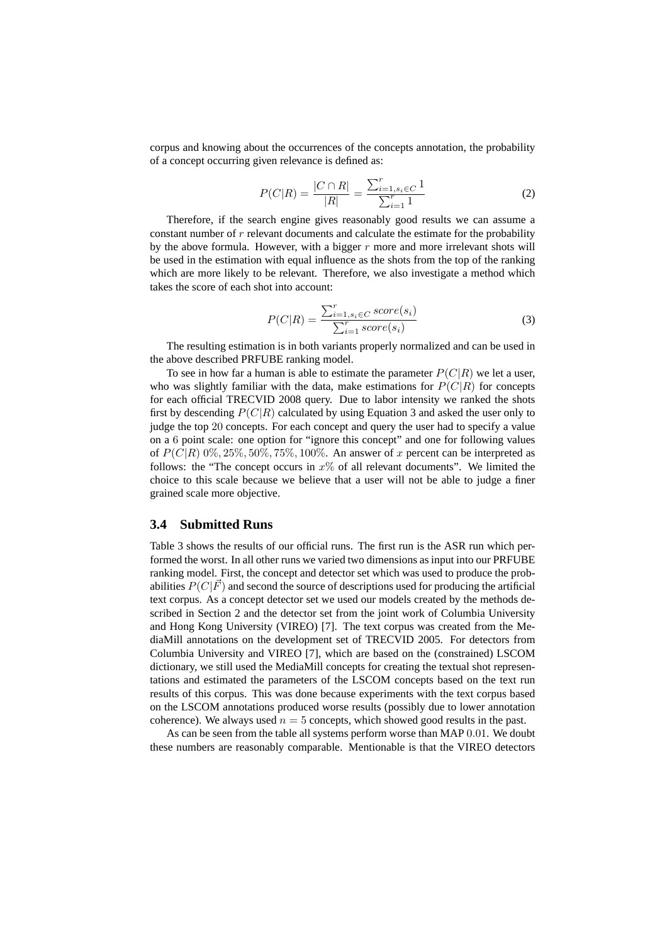corpus and knowing about the occurrences of the concepts annotation, the probability of a concept occurring given relevance is defined as:

$$
P(C|R) = \frac{|C \cap R|}{|R|} = \frac{\sum_{i=1, s_i \in C}^{r} 1}{\sum_{i=1}^{r} 1}
$$
 (2)

Therefore, if the search engine gives reasonably good results we can assume a constant number of  $r$  relevant documents and calculate the estimate for the probability by the above formula. However, with a bigger  $r$  more and more irrelevant shots will be used in the estimation with equal influence as the shots from the top of the ranking which are more likely to be relevant. Therefore, we also investigate a method which takes the score of each shot into account:

$$
P(C|R) = \frac{\sum_{i=1, s_i \in C} score(s_i)}{\sum_{i=1}^{r} score(s_i)}
$$
(3)

The resulting estimation is in both variants properly normalized and can be used in the above described PRFUBE ranking model.

To see in how far a human is able to estimate the parameter  $P(C|R)$  we let a user, who was slightly familiar with the data, make estimations for  $P(C|R)$  for concepts for each official TRECVID 2008 query. Due to labor intensity we ranked the shots first by descending  $P(C|R)$  calculated by using Equation 3 and asked the user only to judge the top 20 concepts. For each concept and query the user had to specify a value on a 6 point scale: one option for "ignore this concept" and one for following values of  $P(C|R)$  0%, 25%, 50%, 75%, 100%. An answer of x percent can be interpreted as follows: the "The concept occurs in  $x\%$  of all relevant documents". We limited the choice to this scale because we believe that a user will not be able to judge a finer grained scale more objective.

#### **3.4 Submitted Runs**

Table 3 shows the results of our official runs. The first run is the ASR run which performed the worst. In all other runs we varied two dimensions as input into our PRFUBE ranking model. First, the concept and detector set which was used to produce the probabilities  $P(C|\vec{F})$  and second the source of descriptions used for producing the artificial text corpus. As a concept detector set we used our models created by the methods described in Section 2 and the detector set from the joint work of Columbia University and Hong Kong University (VIREO) [7]. The text corpus was created from the MediaMill annotations on the development set of TRECVID 2005. For detectors from Columbia University and VIREO [7], which are based on the (constrained) LSCOM dictionary, we still used the MediaMill concepts for creating the textual shot representations and estimated the parameters of the LSCOM concepts based on the text run results of this corpus. This was done because experiments with the text corpus based on the LSCOM annotations produced worse results (possibly due to lower annotation coherence). We always used  $n = 5$  concepts, which showed good results in the past.

As can be seen from the table all systems perform worse than MAP 0.01. We doubt these numbers are reasonably comparable. Mentionable is that the VIREO detectors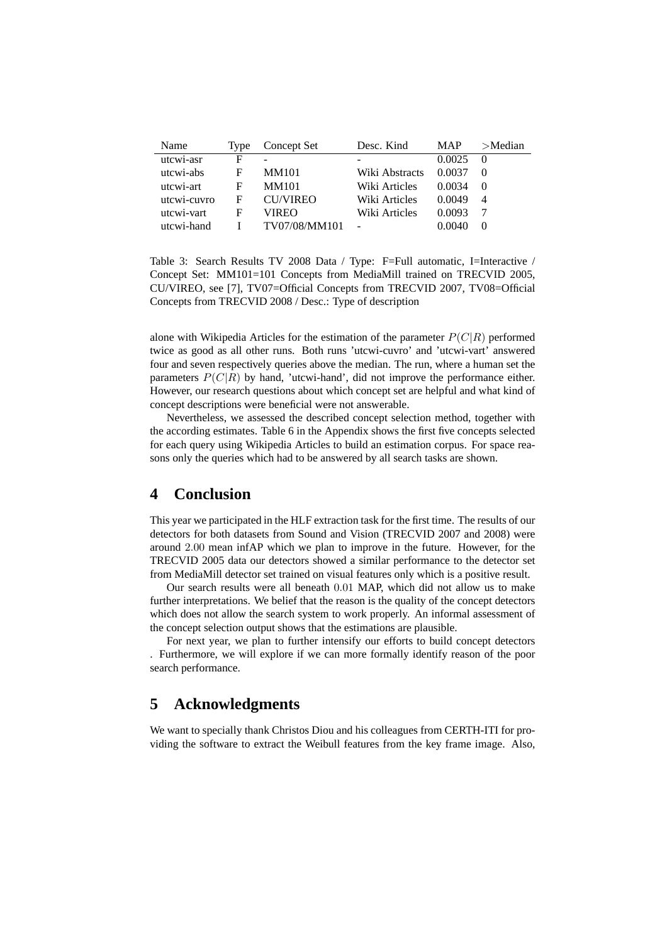| Name        | Type | Concept Set     | Desc. Kind     | <b>MAP</b> | $>$ Median |
|-------------|------|-----------------|----------------|------------|------------|
| utcwi-asr   | F    |                 |                | 0.0025     |            |
| utcwi-abs   | F    | <b>MM101</b>    | Wiki Abstracts | 0.0037     |            |
| utcwi-art   | F    | <b>MM101</b>    | Wiki Articles  | 0.0034     |            |
| utcwi-cuvro | F    | <b>CU/VIREO</b> | Wiki Articles  | 0.0049     | 4          |
| utcwi-vart  | F    | VIREO           | Wiki Articles  | 0.0093     |            |
| utcwi-hand  |      | TV07/08/MM101   |                | 0.0040     |            |

Table 3: Search Results TV 2008 Data / Type: F=Full automatic, I=Interactive / Concept Set: MM101=101 Concepts from MediaMill trained on TRECVID 2005, CU/VIREO, see [7], TV07=Official Concepts from TRECVID 2007, TV08=Official Concepts from TRECVID 2008 / Desc.: Type of description

alone with Wikipedia Articles for the estimation of the parameter  $P(C|R)$  performed twice as good as all other runs. Both runs 'utcwi-cuvro' and 'utcwi-vart' answered four and seven respectively queries above the median. The run, where a human set the parameters  $P(C|R)$  by hand, 'utcwi-hand', did not improve the performance either. However, our research questions about which concept set are helpful and what kind of concept descriptions were beneficial were not answerable.

Nevertheless, we assessed the described concept selection method, together with the according estimates. Table 6 in the Appendix shows the first five concepts selected for each query using Wikipedia Articles to build an estimation corpus. For space reasons only the queries which had to be answered by all search tasks are shown.

# **4 Conclusion**

This year we participated in the HLF extraction task for the first time. The results of our detectors for both datasets from Sound and Vision (TRECVID 2007 and 2008) were around 2.00 mean infAP which we plan to improve in the future. However, for the TRECVID 2005 data our detectors showed a similar performance to the detector set from MediaMill detector set trained on visual features only which is a positive result.

Our search results were all beneath 0.01 MAP, which did not allow us to make further interpretations. We belief that the reason is the quality of the concept detectors which does not allow the search system to work properly. An informal assessment of the concept selection output shows that the estimations are plausible.

For next year, we plan to further intensify our efforts to build concept detectors . Furthermore, we will explore if we can more formally identify reason of the poor search performance.

# **5 Acknowledgments**

We want to specially thank Christos Diou and his colleagues from CERTH-ITI for providing the software to extract the Weibull features from the key frame image. Also,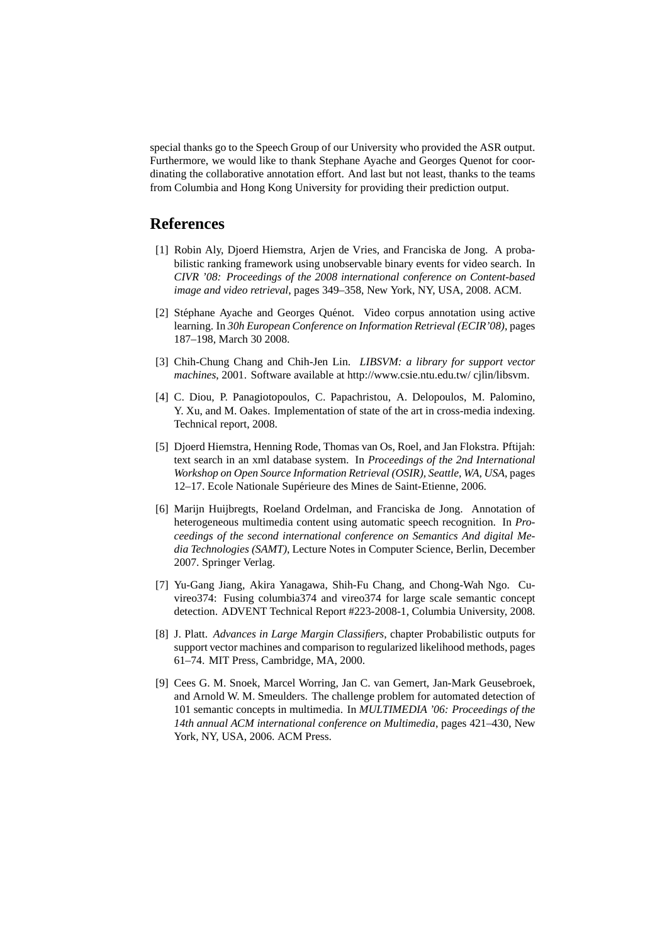special thanks go to the Speech Group of our University who provided the ASR output. Furthermore, we would like to thank Stephane Ayache and Georges Quenot for coordinating the collaborative annotation effort. And last but not least, thanks to the teams from Columbia and Hong Kong University for providing their prediction output.

### **References**

- [1] Robin Aly, Djoerd Hiemstra, Arjen de Vries, and Franciska de Jong. A probabilistic ranking framework using unobservable binary events for video search. In *CIVR '08: Proceedings of the 2008 international conference on Content-based image and video retrieval*, pages 349–358, New York, NY, USA, 2008. ACM.
- [2] Stéphane Ayache and Georges Quénot. Video corpus annotation using active learning. In *30h European Conference on Information Retrieval (ECIR'08)*, pages 187–198, March 30 2008.
- [3] Chih-Chung Chang and Chih-Jen Lin. *LIBSVM: a library for support vector machines*, 2001. Software available at http://www.csie.ntu.edu.tw/ cjlin/libsvm.
- [4] C. Diou, P. Panagiotopoulos, C. Papachristou, A. Delopoulos, M. Palomino, Y. Xu, and M. Oakes. Implementation of state of the art in cross-media indexing. Technical report, 2008.
- [5] Djoerd Hiemstra, Henning Rode, Thomas van Os, Roel, and Jan Flokstra. Pftijah: text search in an xml database system. In *Proceedings of the 2nd International Workshop on Open Source Information Retrieval (OSIR), Seattle, WA, USA*, pages 12–17. Ecole Nationale Supérieure des Mines de Saint-Etienne, 2006.
- [6] Marijn Huijbregts, Roeland Ordelman, and Franciska de Jong. Annotation of heterogeneous multimedia content using automatic speech recognition. In *Proceedings of the second international conference on Semantics And digital Media Technologies (SAMT)*, Lecture Notes in Computer Science, Berlin, December 2007. Springer Verlag.
- [7] Yu-Gang Jiang, Akira Yanagawa, Shih-Fu Chang, and Chong-Wah Ngo. Cuvireo374: Fusing columbia374 and vireo374 for large scale semantic concept detection. ADVENT Technical Report #223-2008-1, Columbia University, 2008.
- [8] J. Platt. *Advances in Large Margin Classifiers*, chapter Probabilistic outputs for support vector machines and comparison to regularized likelihood methods, pages 61–74. MIT Press, Cambridge, MA, 2000.
- [9] Cees G. M. Snoek, Marcel Worring, Jan C. van Gemert, Jan-Mark Geusebroek, and Arnold W. M. Smeulders. The challenge problem for automated detection of 101 semantic concepts in multimedia. In *MULTIMEDIA '06: Proceedings of the 14th annual ACM international conference on Multimedia*, pages 421–430, New York, NY, USA, 2006. ACM Press.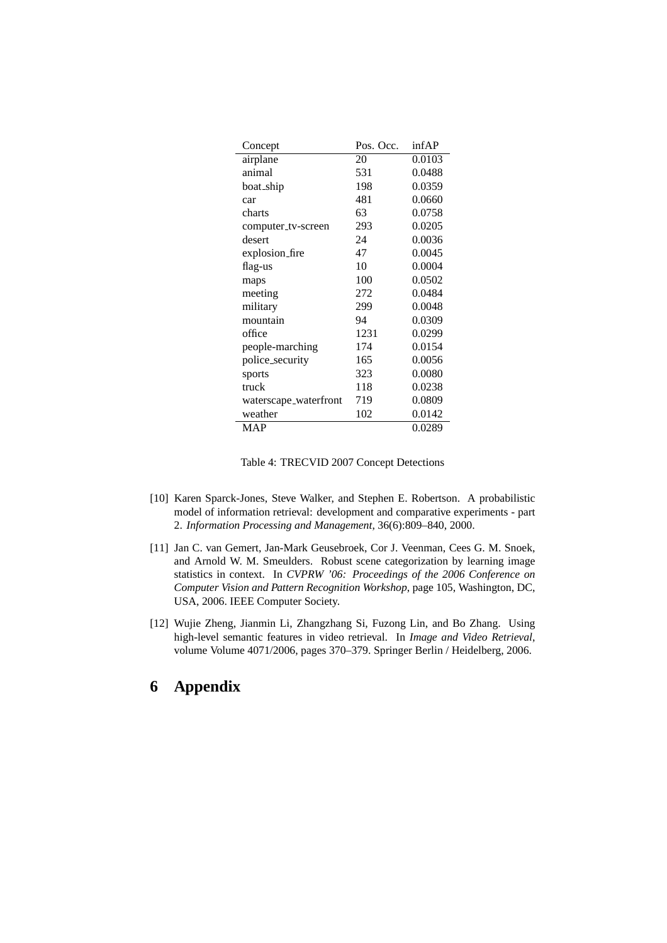| Concept               | Pos. Occ. | infAP  |
|-----------------------|-----------|--------|
| airplane              | 20        | 0.0103 |
| animal                | 531       | 0.0488 |
| boat_ship             | 198       | 0.0359 |
| car                   | 481       | 0.0660 |
| charts                | 63        | 0.0758 |
| computer_tv-screen    | 293       | 0.0205 |
| desert                | 24        | 0.0036 |
| explosion_fire        | 47        | 0.0045 |
| flag-us               | 10        | 0.0004 |
| maps                  | 100       | 0.0502 |
| meeting               | 272       | 0.0484 |
| military              | 299       | 0.0048 |
| mountain              | 94        | 0.0309 |
| office                | 1231      | 0.0299 |
| people-marching       | 174       | 0.0154 |
| police_security       | 165       | 0.0056 |
| sports                | 323       | 0.0080 |
| truck                 | 118       | 0.0238 |
| waterscape_waterfront | 719       | 0.0809 |
| weather               | 102       | 0.0142 |
| <b>MAP</b>            |           | 0.0289 |

- [10] Karen Sparck-Jones, Steve Walker, and Stephen E. Robertson. A probabilistic model of information retrieval: development and comparative experiments - part 2. *Information Processing and Management*, 36(6):809–840, 2000.
- [11] Jan C. van Gemert, Jan-Mark Geusebroek, Cor J. Veenman, Cees G. M. Snoek, and Arnold W. M. Smeulders. Robust scene categorization by learning image statistics in context. In *CVPRW '06: Proceedings of the 2006 Conference on Computer Vision and Pattern Recognition Workshop*, page 105, Washington, DC, USA, 2006. IEEE Computer Society.
- [12] Wujie Zheng, Jianmin Li, Zhangzhang Si, Fuzong Lin, and Bo Zhang. Using high-level semantic features in video retrieval. In *Image and Video Retrieval*, volume Volume 4071/2006, pages 370–379. Springer Berlin / Heidelberg, 2006.

# **6 Appendix**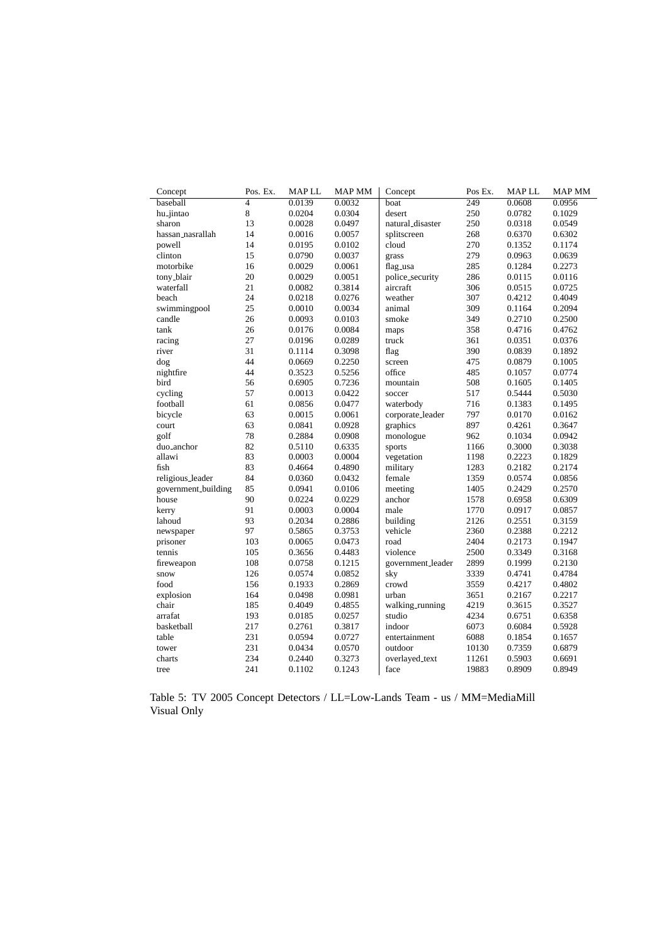| Concept             | Pos. Ex.       | <b>MAPLL</b> | <b>MAP MM</b> | Concept           | Pos Ex. | MAP LL | <b>MAP MM</b> |
|---------------------|----------------|--------------|---------------|-------------------|---------|--------|---------------|
| baseball            | $\overline{4}$ | 0.0139       | 0.0032        | boat              | 249     | 0.0608 | 0.0956        |
| hu_jintao           | 8              | 0.0204       | 0.0304        | desert            | 250     | 0.0782 | 0.1029        |
| sharon              | 13             | 0.0028       | 0.0497        | natural_disaster  | 250     | 0.0318 | 0.0549        |
| hassan_nasrallah    | 14             | 0.0016       | 0.0057        | splitscreen       | 268     | 0.6370 | 0.6302        |
| powell              | 14             | 0.0195       | 0.0102        | cloud             | 270     | 0.1352 | 0.1174        |
| clinton             | 15             | 0.0790       | 0.0037        | grass             | 279     | 0.0963 | 0.0639        |
| motorbike           | 16             | 0.0029       | 0.0061        | flag_usa          | 285     | 0.1284 | 0.2273        |
| tony_blair          | 20             | 0.0029       | 0.0051        | police_security   | 286     | 0.0115 | 0.0116        |
| waterfall           | 21             | 0.0082       | 0.3814        | aircraft          | 306     | 0.0515 | 0.0725        |
| beach               | 24             | 0.0218       | 0.0276        | weather           | 307     | 0.4212 | 0.4049        |
| swimmingpool        | 25             | 0.0010       | 0.0034        | animal            | 309     | 0.1164 | 0.2094        |
| candle              | 26             | 0.0093       | 0.0103        | smoke             | 349     | 0.2710 | 0.2500        |
| tank                | 26             | 0.0176       | 0.0084        | maps              | 358     | 0.4716 | 0.4762        |
| racing              | 27             | 0.0196       | 0.0289        | truck             | 361     | 0.0351 | 0.0376        |
| river               | 31             | 0.1114       | 0.3098        | flag              | 390     | 0.0839 | 0.1892        |
| dog                 | 44             | 0.0669       | 0.2250        | screen            | 475     | 0.0879 | 0.1005        |
| nightfire           | 44             | 0.3523       | 0.5256        | office            | 485     | 0.1057 | 0.0774        |
| bird                | 56             | 0.6905       | 0.7236        | mountain          | 508     | 0.1605 | 0.1405        |
| cycling             | 57             | 0.0013       | 0.0422        | soccer            | 517     | 0.5444 | 0.5030        |
| football            | 61             | 0.0856       | 0.0477        | waterbody         | 716     | 0.1383 | 0.1495        |
| bicycle             | 63             | 0.0015       | 0.0061        | corporate_leader  | 797     | 0.0170 | 0.0162        |
| court               | 63             | 0.0841       | 0.0928        | graphics          | 897     | 0.4261 | 0.3647        |
| golf                | 78             | 0.2884       | 0.0908        | monologue         | 962     | 0.1034 | 0.0942        |
| duo_anchor          | 82             | 0.5110       | 0.6335        | sports            | 1166    | 0.3000 | 0.3038        |
| allawi              | 83             | 0.0003       | 0.0004        | vegetation        | 1198    | 0.2223 | 0.1829        |
| fish                | 83             | 0.4664       | 0.4890        | military          | 1283    | 0.2182 | 0.2174        |
| religious_leader    | 84             | 0.0360       | 0.0432        | female            | 1359    | 0.0574 | 0.0856        |
| government_building | 85             | 0.0941       | 0.0106        | meeting           | 1405    | 0.2429 | 0.2570        |
| house               | 90             | 0.0224       | 0.0229        | anchor            | 1578    | 0.6958 | 0.6309        |
| kerry               | 91             | 0.0003       | 0.0004        | male              | 1770    | 0.0917 | 0.0857        |
| lahoud              | 93             | 0.2034       | 0.2886        | building          | 2126    | 0.2551 | 0.3159        |
| newspaper           | 97             | 0.5865       | 0.3753        | vehicle           | 2360    | 0.2388 | 0.2212        |
| prisoner            | 103            | 0.0065       | 0.0473        | road              | 2404    | 0.2173 | 0.1947        |
| tennis              | 105            | 0.3656       | 0.4483        | violence          | 2500    | 0.3349 | 0.3168        |
| fireweapon          | 108            | 0.0758       | 0.1215        | government_leader | 2899    | 0.1999 | 0.2130        |
| snow                | 126            | 0.0574       | 0.0852        | sky               | 3339    | 0.4741 | 0.4784        |
| food                | 156            | 0.1933       | 0.2869        | crowd             | 3559    | 0.4217 | 0.4802        |
| explosion           | 164            | 0.0498       | 0.0981        | urban             | 3651    | 0.2167 | 0.2217        |
| chair               | 185            | 0.4049       | 0.4855        | walking_running   | 4219    | 0.3615 | 0.3527        |
| arrafat             | 193            | 0.0185       | 0.0257        | studio            | 4234    | 0.6751 | 0.6358        |
| basketball          | 217            | 0.2761       | 0.3817        | indoor            | 6073    | 0.6084 | 0.5928        |
| table               | 231            | 0.0594       | 0.0727        | entertainment     | 6088    | 0.1854 | 0.1657        |
| tower               | 231            | 0.0434       | 0.0570        | outdoor           | 10130   | 0.7359 | 0.6879        |
| charts              | 234            | 0.2440       | 0.3273        | overlayed_text    | 11261   | 0.5903 | 0.6691        |
| tree                | 241            | 0.1102       | 0.1243        | face              | 19883   | 0.8909 | 0.8949        |
|                     |                |              |               |                   |         |        |               |

Table 5: TV 2005 Concept Detectors / LL=Low-Lands Team - us / MM=MediaMill Visual Only